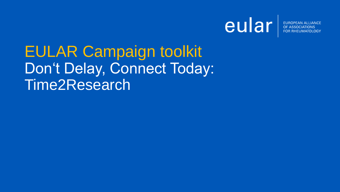

# EULAR Campaign toolkit Don't Delay, Connect Today: Time2Research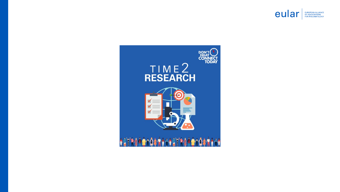

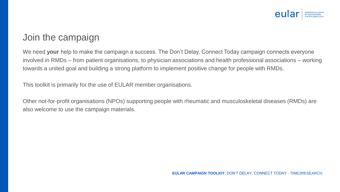

#### Join the campaign

We need **your** help to make the campaign a success. The Don't Delay, Connect Today campaign connects everyone involved in RMDs – from patient organisations, to physician associations and health professional associations – working towards a united goal and building a strong platform to implement positive change for people with RMDs.

This toolkit is primarily for the use of EULAR member organisations.

Other not-for-profit organisations (NPOs) supporting people with rheumatic and musculoskeletal diseases (RMDs) are also welcome to use the campaign materials.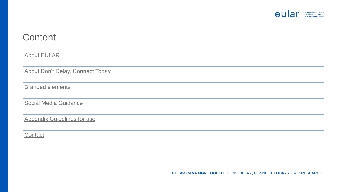

#### **Content**

[About EULAR](#page-4-0)

[About Don't Delay, Connect Today](#page-5-0)

[Branded elements](#page-7-0)

Social [Media Guidance](#page-13-0)

[Appendix Guidelines for](#page-14-0) use

**[Contact](#page-16-0)**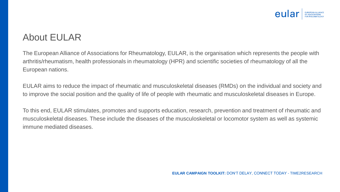

## <span id="page-4-0"></span>About EULAR

The European Alliance of Associations for Rheumatology, EULAR, is the organisation which represents the people with arthritis/rheumatism, health professionals in rheumatology (HPR) and scientific societies of rheumatology of all the European nations.

EULAR aims to reduce the impact of rheumatic and musculoskeletal diseases (RMDs) on the individual and society and to improve the social position and the quality of life of people with rheumatic and musculoskeletal diseases in Europe.

To this end, EULAR stimulates, promotes and supports education, research, prevention and treatment of rheumatic and musculoskeletal diseases. These include the diseases of the musculoskeletal or locomotor system as well as systemic immune mediated diseases.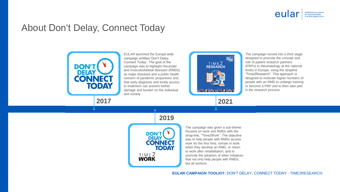

#### <span id="page-5-0"></span>About Don't Delay, Connect Today



EULAR launched the Europe-wide campaign entitled 'Don't Delay, Connect Today'. The goal of the campaign was to highlight rheumatic and musculoskeletal diseases (RMDs) as major diseases and a public health concern of pandemic proportions and that early diagnosis and timely access to treatment can prevent further damage and burden on the individual and society.



The campaign moved into a third stage designed to promote the concept and role of patient research partners (PRPs) in rheumatology at the national levels in Europe, using the strapline "Time2Research". This approach is designed to motivate higher numbers of people with an RMD to undergo training to become a PRP and to then take part in the research process.





The campaign was given a sub-theme focused on work and RMDs with the strap-line, "Time2Work". The objective was to help people with RMDs access work for the first time, remain in work when they develop an RMD, or return to work after rehabilitation, and to promote the adoption of other initiatives that not only help people with RMDs, but all workers.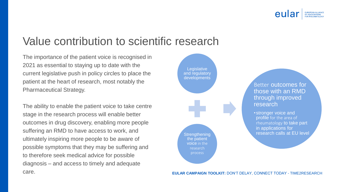

## Value contribution to scientific research

The importance of the patient voice is recognised in 2021 as essential to staying up to date with the current legislative push in policy circles to place the patient at the heart of research, most notably the Pharmaceutical Strategy.

The ability to enable the patient voice to take centre stage in the research process will enable better outcomes in drug discovery, enabling more people suffering an RMD to have access to work, and ultimately inspiring more people to be aware of possible symptoms that they may be suffering and to therefore seek medical advice for possible diagnosis – and access to timely and adequate care. **EULAR CAMPAIGN TOOLKIT:** DON'T DELAY, CONNECT TODAY - TIME2RESEARCH

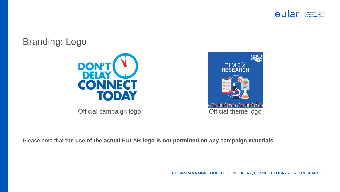

#### <span id="page-7-0"></span>Branding: Logo





Please note that **the use of the actual EULAR logo is not permitted on any campaign materials**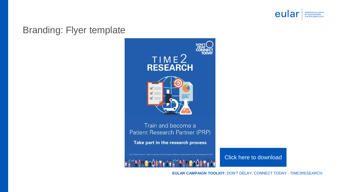

#### Branding: Flyer template



[Click here](https://www.eular.org/myUploadData/files/t2r_flyer.pdf) to download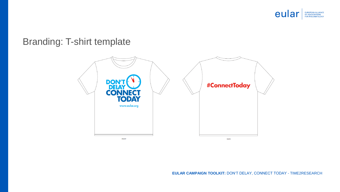

## Branding: T-shirt template

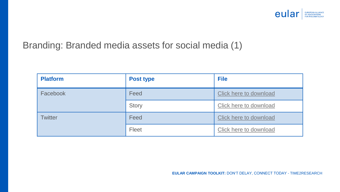

## Branding: Branded media assets for social media (1)

| <b>Platform</b> | <b>Post type</b> | <b>File</b>            |
|-----------------|------------------|------------------------|
| Facebook        | Feed             | Click here to download |
|                 | <b>Story</b>     | Click here to download |
| <b>Twitter</b>  | Feed             | Click here to download |
|                 | Fleet            | Click here to download |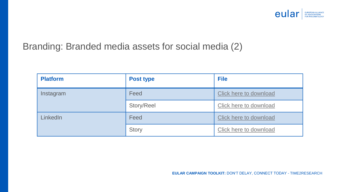

## Branding: Branded media assets for social media (2)

| <b>Platform</b> | <b>Post type</b> | <b>File</b>            |
|-----------------|------------------|------------------------|
| Instagram       | Feed             | Click here to download |
|                 | Story/Reel       | Click here to download |
| LinkedIn        | Feed             | Click here to download |
|                 | Story            | Click here to download |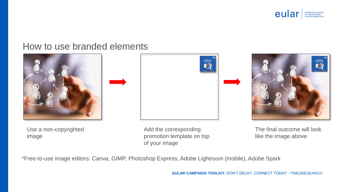

#### How to use branded elements



Use a non-copyrighted image







The final outcome will look like the image above

\*Free-to-use image editors: Canva, GIMP, Photoshop Express, Adobe Lightroom (mobile), Adobe Spark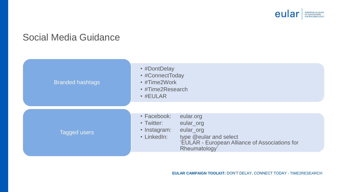

## <span id="page-13-0"></span>Social Media Guidance

| <b>Branded hashtags</b> | • #DontDelay<br>• #ConnectToday<br>• #Time2Work<br>• #Time2Research<br>$\cdot$ #EULAR                                                                                                        |
|-------------------------|----------------------------------------------------------------------------------------------------------------------------------------------------------------------------------------------|
| Tagged users            | • Facebook:<br>eular.org<br>• Twitter:<br>eular_org<br>eular_org<br>• Instagram:<br>• LinkedIn:<br>type @eular and select<br>'EULAR - European Alliance of Associations for<br>Rheumatology' |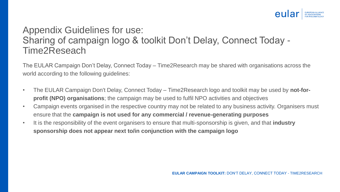

## <span id="page-14-0"></span>Appendix Guidelines for use: Sharing of campaign logo & toolkit Don't Delay, Connect Today - Time2Reseach

The EULAR Campaign Don't Delay, Connect Today – Time2Research may be shared with organisations across the world according to the following guidelines:

- The EULAR Campaign Don't Delay, Connect Today Time2Research logo and toolkit may be used by **not-forprofit (NPO) organisations**; the campaign may be used to fulfil NPO activities and objectives
- Campaign events organised in the respective country may not be related to any business activity. Organisers must ensure that the **campaign is not used for any commercial / revenue-generating purposes**
- It is the responsibility of the event organisers to ensure that multi-sponsorship is given, and that **industry sponsorship does not appear next to/in conjunction with the campaign logo**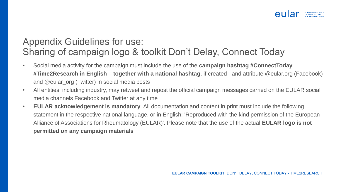

## Appendix Guidelines for use: Sharing of campaign logo & toolkit Don't Delay, Connect Today

- Social media activity for the campaign must include the use of the **campaign hashtag #ConnectToday #Time2Research in English – together with a national hashtag**, if created - and attribute @eular.org (Facebook) and @eular\_org (Twitter) in social media posts
- All entities, including industry, may retweet and repost the official campaign messages carried on the EULAR social media channels Facebook and Twitter at any time
- **EULAR acknowledgement is mandatory**. All documentation and content in print must include the following statement in the respective national language, or in English: 'Reproduced with the kind permission of the European Alliance of Associations for Rheumatology (EULAR)'. Please note that the use of the actual **EULAR logo is not permitted on any campaign materials**